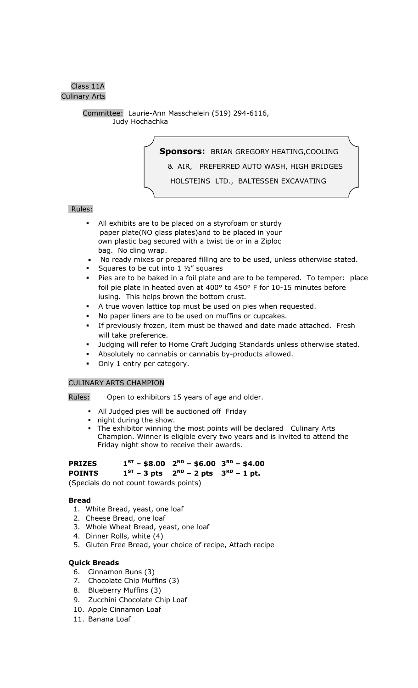## Class 11A Culinary Arts

 Committee: Laurie-Ann Masschelein (519) 294-6116, Judy Hochachka

**Sponsors:** BRIAN GREGORY HEATING,COOLING

& AIR, PREFERRED AUTO WASH, HIGH BRIDGES

HOLSTEINS LTD., BALTESSEN EXCAVATING

## Rules:

- All exhibits are to be placed on a styrofoam or sturdy paper plate(NO glass plates)and to be placed in your own plastic bag secured with a twist tie or in a Ziploc bag. No cling wrap.
- No ready mixes or prepared filling are to be used, unless otherwise stated.
- Squares to be cut into 1 1/2" squares

l

- Pies are to be baked in a foil plate and are to be tempered. To temper: place foil pie plate in heated oven at 400° to 450° F for 10-15 minutes before iusing. This helps brown the bottom crust.
- A true woven lattice top must be used on pies when requested.
- No paper liners are to be used on muffins or cupcakes.
- If previously frozen, item must be thawed and date made attached. Fresh will take preference.
- Judging will refer to Home Craft Judging Standards unless otherwise stated.
- Absolutely no cannabis or cannabis by-products allowed.
- Only 1 entry per category.

## CULINARY ARTS CHAMPION

Rules: Open to exhibitors 15 years of age and older.

- All Judged pies will be auctioned off Friday
- night during the show.
- The exhibitor winning the most points will be declared Culinary Arts Champion. Winner is eligible every two years and is invited to attend the Friday night show to receive their awards.

#### **PRIZES 1 ST – \$8.00 2 ND – \$6.00 3 RD – \$4.00**

#### **POINTS 1**  $1^{ST}$  – 3 pts **ND – 2 pts 3 RD – 1 pt.**

(Specials do not count towards points)

## **Bread**

- 1. White Bread, yeast, one loaf
- 2. Cheese Bread, one loaf
- 3. Whole Wheat Bread, yeast, one loaf
- 4. Dinner Rolls, white (4)
- 5. Gluten Free Bread, your choice of recipe, Attach recipe

# **Quick Breads**

- 6. Cinnamon Buns (3)
- 7. Chocolate Chip Muffins (3)
- 8. Blueberry Muffins (3)
- 9. Zucchini Chocolate Chip Loaf
- 10. Apple Cinnamon Loaf
- 11. Banana Loaf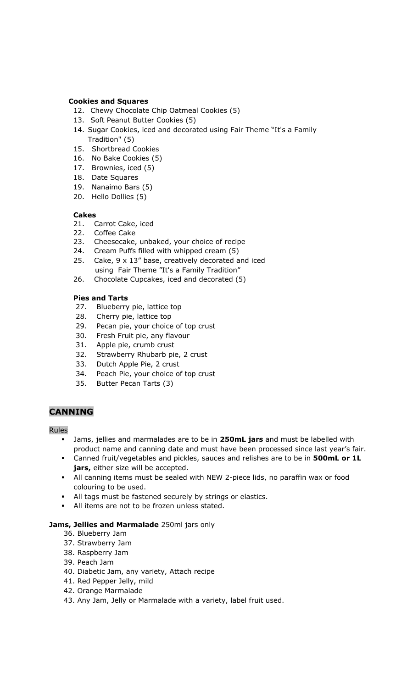## **Cookies and Squares**

- 12. Chewy Chocolate Chip Oatmeal Cookies (5)
- 13. Soft Peanut Butter Cookies (5)
- 14. Sugar Cookies, iced and decorated using Fair Theme "It's a Family Tradition" (5)
- 15. Shortbread Cookies
- 16. No Bake Cookies (5)
- 17. Brownies, iced (5)
- 18. Date Squares
- 19. Nanaimo Bars (5)
- 20. Hello Dollies (5)

## **Cakes**

- 21. Carrot Cake, iced
- 22. Coffee Cake
- 23. Cheesecake, unbaked, your choice of recipe
- 24. Cream Puffs filled with whipped cream (5)
- 25. Cake, 9 x 13" base, creatively decorated and iced using Fair Theme "It's a Family Tradition"
- 26. Chocolate Cupcakes, iced and decorated (5)

## **Pies and Tarts**

- 27. Blueberry pie, lattice top
- 28. Cherry pie, lattice top
- 29. Pecan pie, your choice of top crust
- 30. Fresh Fruit pie, any flavour
- 31. Apple pie, crumb crust
- 32. Strawberry Rhubarb pie, 2 crust
- 33. Dutch Apple Pie, 2 crust
- 34. Peach Pie, your choice of top crust
- 35. Butter Pecan Tarts (3)

## **CANNING**

## Rules

- Jams, jellies and marmalades are to be in **250mL jars** and must be labelled with product name and canning date and must have been processed since last year's fair.
- Canned fruit/vegetables and pickles, sauces and relishes are to be in **500mL or 1L jars,** either size will be accepted.
- All canning items must be sealed with NEW 2-piece lids, no paraffin wax or food colouring to be used.
- All tags must be fastened securely by strings or elastics.
- All items are not to be frozen unless stated.

## **Jams, Jellies and Marmalade** 250ml jars only

- 36. Blueberry Jam
- 37. Strawberry Jam
- 38. Raspberry Jam
- 39. Peach Jam
- 40. Diabetic Jam, any variety, Attach recipe
- 41. Red Pepper Jelly, mild
- 42. Orange Marmalade
- 43. Any Jam, Jelly or Marmalade with a variety, label fruit used.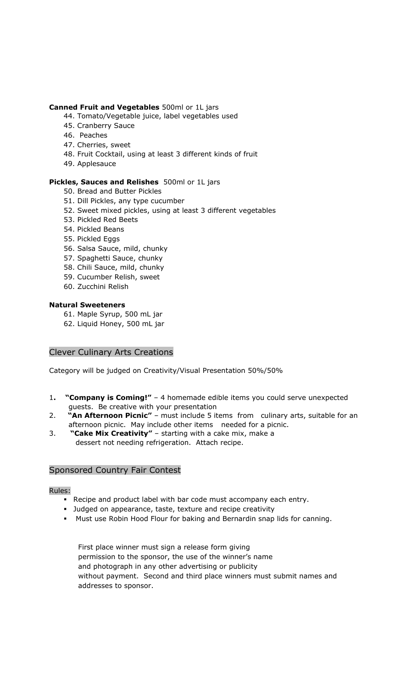## **Canned Fruit and Vegetables** 500ml or 1L jars

- 44. Tomato/Vegetable juice, label vegetables used
- 45. Cranberry Sauce
- 46. Peaches
- 47. Cherries, sweet
- 48. Fruit Cocktail, using at least 3 different kinds of fruit
- 49. Applesauce

## **Pickles, Sauces and Relishes** 500ml or 1L jars

- 50. Bread and Butter Pickles
- 51. Dill Pickles, any type cucumber
- 52. Sweet mixed pickles, using at least 3 different vegetables
- 53. Pickled Red Beets
- 54. Pickled Beans
- 55. Pickled Eggs
- 56. Salsa Sauce, mild, chunky
- 57. Spaghetti Sauce, chunky
- 58. Chili Sauce, mild, chunky
- 59. Cucumber Relish, sweet
- 60. Zucchini Relish

## **Natural Sweeteners**

- 61. Maple Syrup, 500 mL jar
- 62. Liquid Honey, 500 mL jar

## Clever Culinary Arts Creations

Category will be judged on Creativity/Visual Presentation 50%/50%

- 1**. "Company is Coming!"**  4 homemade edible items you could serve unexpected guests. Be creative with your presentation
- 2. **"An Afternoon Picnic"** must include 5 items from culinary arts, suitable for an afternoon picnic. May include other items needed for a picnic.
- 3. **"Cake Mix Creativity"**  starting with a cake mix, make a dessert not needing refrigeration. Attach recipe.

## Sponsored Country Fair Contest

## Rules:

- Recipe and product label with bar code must accompany each entry.
- Judged on appearance, taste, texture and recipe creativity
- Must use Robin Hood Flour for baking and Bernardin snap lids for canning.

First place winner must sign a release form giving permission to the sponsor, the use of the winner's name and photograph in any other advertising or publicity without payment. Second and third place winners must submit names and addresses to sponsor.